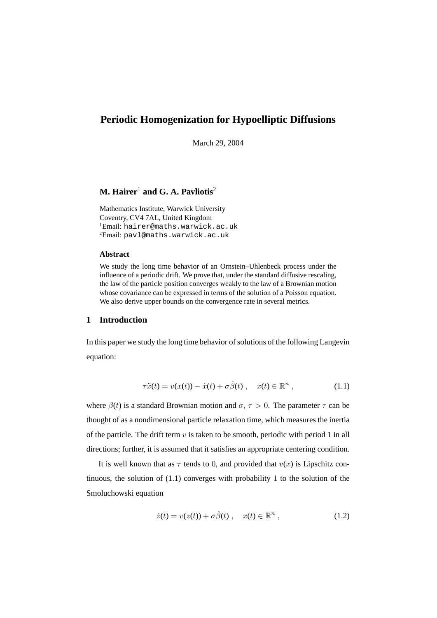# **Periodic Homogenization for Hypoelliptic Diffusions**

March 29, 2004

## **M.** Hairer<sup>1</sup> and G. A. Pavliotis<sup>2</sup>

Mathematics Institute, Warwick University Coventry, CV4 7AL, United Kingdom <sup>1</sup>Email: hairer@maths.warwick.ac.uk <sup>2</sup>Email: pavl@maths.warwick.ac.uk

## **Abstract**

We study the long time behavior of an Ornstein–Uhlenbeck process under the influence of a periodic drift. We prove that, under the standard diffusive rescaling, the law of the particle position converges weakly to the law of a Brownian motion whose covariance can be expressed in terms of the solution of a Poisson equation. We also derive upper bounds on the convergence rate in several metrics.

## **1 Introduction**

In this paper we study the long time behavior of solutions of the following Langevin equation:

$$
\tau \ddot{x}(t) = v(x(t)) - \dot{x}(t) + \sigma \dot{\beta}(t) , \quad x(t) \in \mathbb{R}^n , \qquad (1.1)
$$

where  $\beta(t)$  is a standard Brownian motion and  $\sigma, \tau > 0$ . The parameter  $\tau$  can be thought of as a nondimensional particle relaxation time, which measures the inertia of the particle. The drift term  $v$  is taken to be smooth, periodic with period 1 in all directions; further, it is assumed that it satisfies an appropriate centering condition.

It is well known that as  $\tau$  tends to 0, and provided that  $v(x)$  is Lipschitz continuous, the solution of (1.1) converges with probability 1 to the solution of the Smoluchowski equation

$$
\dot{z}(t) = v(z(t)) + \sigma \dot{\beta}(t) , \quad x(t) \in \mathbb{R}^n , \qquad (1.2)
$$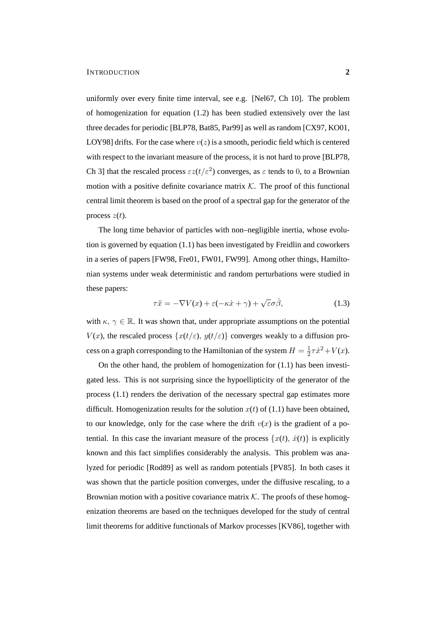uniformly over every finite time interval, see e.g. [Nel67, Ch 10]. The problem of homogenization for equation (1.2) has been studied extensively over the last three decades for periodic [BLP78, Bat85, Par99] as well as random [CX97, KO01, LOY98] drifts. For the case where  $v(z)$  is a smooth, periodic field which is centered with respect to the invariant measure of the process, it is not hard to prove [BLP78, Ch 3] that the rescaled process  $\epsilon z(t/\epsilon^2)$  converges, as  $\epsilon$  tends to 0, to a Brownian motion with a positive definite covariance matrix  $K$ . The proof of this functional central limit theorem is based on the proof of a spectral gap for the generator of the process  $z(t)$ .

The long time behavior of particles with non–negligible inertia, whose evolution is governed by equation (1.1) has been investigated by Freidlin and coworkers in a series of papers [FW98, Fre01, FW01, FW99]. Among other things, Hamiltonian systems under weak deterministic and random perturbations were studied in these papers:

$$
\tau \ddot{x} = -\nabla V(x) + \varepsilon (-\kappa \dot{x} + \gamma) + \sqrt{\varepsilon} \sigma \dot{\beta}, \qquad (1.3)
$$

with  $\kappa, \gamma \in \mathbb{R}$ . It was shown that, under appropriate assumptions on the potential  $V(x)$ , the rescaled process  $\{x(t/\varepsilon), y(t/\varepsilon)\}\)$  converges weakly to a diffusion process on a graph corresponding to the Hamiltonian of the system  $H = \frac{1}{2}$  $\frac{1}{2}\tau \dot{x}^2 + V(x)$ .

On the other hand, the problem of homogenization for (1.1) has been investigated less. This is not surprising since the hypoellipticity of the generator of the process (1.1) renders the derivation of the necessary spectral gap estimates more difficult. Homogenization results for the solution  $x(t)$  of (1.1) have been obtained, to our knowledge, only for the case where the drift  $v(x)$  is the gradient of a potential. In this case the invariant measure of the process  $\{x(t), \dot{x}(t)\}\)$  is explicitly known and this fact simplifies considerably the analysis. This problem was analyzed for periodic [Rod89] as well as random potentials [PV85]. In both cases it was shown that the particle position converges, under the diffusive rescaling, to a Brownian motion with a positive covariance matrix  $K$ . The proofs of these homogenization theorems are based on the techniques developed for the study of central limit theorems for additive functionals of Markov processes [KV86], together with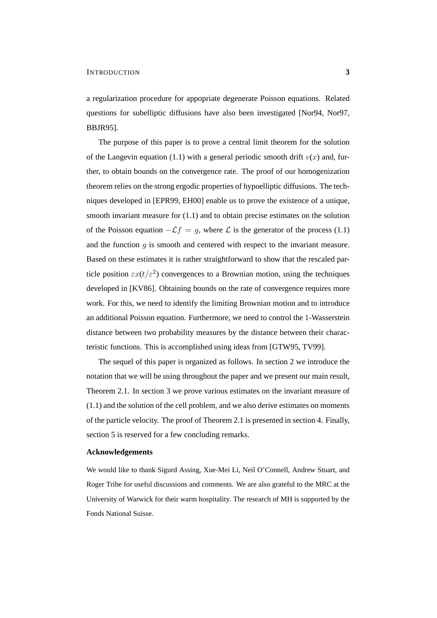a regularization procedure for appopriate degenerate Poisson equations. Related questions for subelliptic diffusions have also been investigated [Nor94, Nor97, BBJR95].

The purpose of this paper is to prove a central limit theorem for the solution of the Langevin equation (1.1) with a general periodic smooth drift  $v(x)$  and, further, to obtain bounds on the convergence rate. The proof of our homogenization theorem relies on the strong ergodic properties of hypoelliptic diffusions. The techniques developed in [EPR99, EH00] enable us to prove the existence of a unique, smooth invariant measure for (1.1) and to obtain precise estimates on the solution of the Poisson equation  $-\mathcal{L}f = g$ , where  $\mathcal L$  is the generator of the process (1.1) and the function  $g$  is smooth and centered with respect to the invariant measure. Based on these estimates it is rather straightforward to show that the rescaled particle position  $\epsilon x(t/\epsilon^2)$  convergences to a Brownian motion, using the techniques developed in [KV86]. Obtaining bounds on the rate of convergence requires more work. For this, we need to identify the limiting Brownian motion and to introduce an additional Poisson equation. Furthermore, we need to control the 1-Wasserstein distance between two probability measures by the distance between their characteristic functions. This is accomplished using ideas from [GTW95, TV99].

The sequel of this paper is organized as follows. In section 2 we introduce the notation that we will be using throughout the paper and we present our main result, Theorem 2.1. In section 3 we prove various estimates on the invariant measure of (1.1) and the solution of the cell problem, and we also derive estimates on moments of the particle velocity. The proof of Theorem 2.1 is presented in section 4. Finally, section 5 is reserved for a few concluding remarks.

#### **Acknowledgements**

We would like to thank Sigurd Assing, Xue-Mei Li, Neil O'Connell, Andrew Stuart, and Roger Tribe for useful discussions and comments. We are also grateful to the MRC at the University of Warwick for their warm hospitality. The research of MH is supported by the Fonds National Suisse.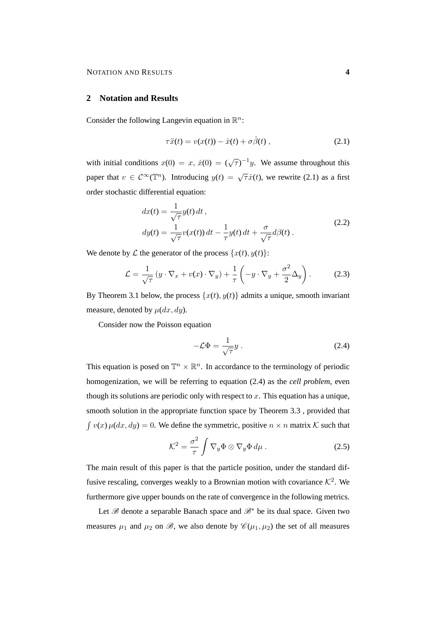### **2 Notation and Results**

Consider the following Langevin equation in  $\mathbb{R}^n$ :

$$
\tau \ddot{x}(t) = v(x(t)) - \dot{x}(t) + \sigma \dot{\beta}(t) , \qquad (2.1)
$$

with initial conditions  $x(0) = x$ ,  $\dot{x}(0) = (\sqrt{\tau})^{-1}y$ . We assume throughout this paper that  $v \in C^{\infty}(\mathbb{T}^n)$ . Introducing  $y(t) = \sqrt{\tau} \dot{x}(t)$ , we rewrite (2.1) as a first order stochastic differential equation:

$$
dx(t) = \frac{1}{\sqrt{\tau}} y(t) dt,
$$
  
\n
$$
dy(t) = \frac{1}{\sqrt{\tau}} v(x(t)) dt - \frac{1}{\tau} y(t) dt + \frac{\sigma}{\sqrt{\tau}} d\beta(t).
$$
\n(2.2)

We denote by L the generator of the process  $\{x(t), y(t)\}$ :

$$
\mathcal{L} = \frac{1}{\sqrt{\tau}} \left( y \cdot \nabla_x + v(x) \cdot \nabla_y \right) + \frac{1}{\tau} \left( -y \cdot \nabla_y + \frac{\sigma^2}{2} \Delta_y \right). \tag{2.3}
$$

By Theorem 3.1 below, the process  $\{x(t), y(t)\}\$  admits a unique, smooth invariant measure, denoted by  $\mu(dx, dy)$ .

Consider now the Poisson equation

$$
-\mathcal{L}\Phi = \frac{1}{\sqrt{\tau}}y\,. \tag{2.4}
$$

This equation is posed on  $\mathbb{T}^n \times \mathbb{R}^n$ . In accordance to the terminology of periodic homogenization, we will be referring to equation (2.4) as the *cell problem*, even though its solutions are periodic only with respect to  $x$ . This equation has a unique, smooth solution in the appropriate function space by Theorem 3.3 , provided that  $\int v(x) \mu(dx, dy) = 0$ . We define the symmetric, positive  $n \times n$  matrix K such that

$$
\mathcal{K}^2 = \frac{\sigma^2}{\tau} \int \nabla_y \Phi \otimes \nabla_y \Phi d\mu . \qquad (2.5)
$$

The main result of this paper is that the particle position, under the standard diffusive rescaling, converges weakly to a Brownian motion with covariance  $K^2$ . We furthermore give upper bounds on the rate of convergence in the following metrics.

Let  $\mathscr B$  denote a separable Banach space and  $\mathscr B^*$  be its dual space. Given two measures  $\mu_1$  and  $\mu_2$  on  $\mathscr{B}$ , we also denote by  $\mathscr{C}(\mu_1, \mu_2)$  the set of all measures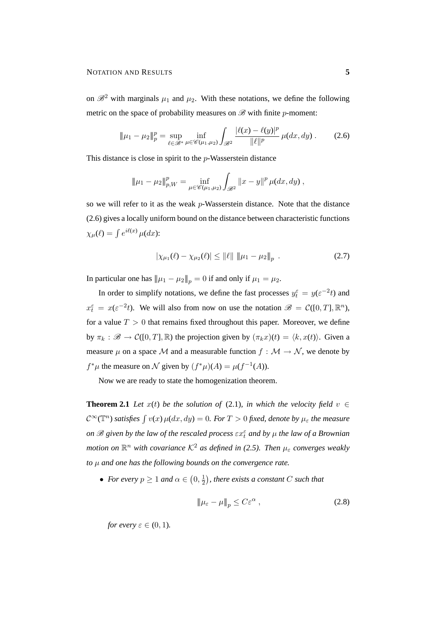on  $\mathcal{B}^2$  with marginals  $\mu_1$  and  $\mu_2$ . With these notations, we define the following metric on the space of probability measures on  $\mathscr{B}$  with finite *p*-moment:

$$
\|\mu_1 - \mu_2\|_p^p = \sup_{\ell \in \mathscr{B}^*} \inf_{\mu \in \mathscr{C}(\mu_1, \mu_2)} \int_{\mathscr{B}^2} \frac{|\ell(x) - \ell(y)|^p}{\|\ell\|^p} \, \mu(dx, dy) \,. \tag{2.6}
$$

This distance is close in spirit to the p-Wasserstein distance

$$
\|\mu_1 - \mu_2\|_{p,W}^p = \inf_{\mu \in \mathscr{C}(\mu_1,\mu_2)} \int_{\mathscr{B}^2} \|x - y\|^p \, \mu(dx, dy) \;,
$$

so we will refer to it as the weak p-Wasserstein distance. Note that the distance (2.6) gives a locally uniform bound on the distance between characteristic functions  $\chi_{\mu}(\ell) = \int e^{i\ell(x)} \mu(dx)$ :

$$
|\chi_{\mu_1}(\ell) - \chi_{\mu_2}(\ell)| \le ||\ell|| \, ||\mu_1 - \mu_2||_p \,. \tag{2.7}
$$

In particular one has  $||\mu_1 - \mu_2||_p = 0$  if and only if  $\mu_1 = \mu_2$ .

In order to simplify notations, we define the fast processes  $y_t^{\varepsilon} = y(\varepsilon^{-2}t)$  and  $x_t^{\varepsilon} = x(\varepsilon^{-2}t)$ . We will also from now on use the notation  $\mathscr{B} = \mathcal{C}([0,T], \mathbb{R}^n)$ , for a value  $T > 0$  that remains fixed throughout this paper. Moreover, we define by  $\pi_k : \mathscr{B} \to \mathcal{C}([0,T], \mathbb{R})$  the projection given by  $(\pi_k x)(t) = \langle k, x(t) \rangle$ . Given a measure  $\mu$  on a space M and a measurable function  $f : \mathcal{M} \to \mathcal{N}$ , we denote by  $f^*\mu$  the measure on N given by  $(f^*\mu)(A) = \mu(f^{-1}(A)).$ 

Now we are ready to state the homogenization theorem.

**Theorem 2.1** *Let*  $x(t)$  *be the solution of* (2.1)*, in which the velocity field*  $v \in$  $\mathcal{C}^{\infty}(\mathbb{T}^n)$  satisfies  $\int v(x) \mu(dx, dy) = 0$ . For  $T > 0$  fixed, denote by  $\mu_{\varepsilon}$  the measure *on*  $\mathscr B$  given by the law of the rescaled process  $\varepsilon x_t^\varepsilon$  and by  $\mu$  the law of a Brownian motion on  $\mathbb{R}^n$  with covariance  $\mathcal{K}^2$  as defined in (2.5). Then  $\mu_{\varepsilon}$  converges weakly *to* µ *and one has the following bounds on the convergence rate.*

• *For every*  $p \geq 1$  *and*  $\alpha \in (0, \frac{1}{2})$  $(\frac{1}{2})$ , there exists a constant C such that

$$
\|\mu_{\varepsilon} - \mu\|_{p} \le C\varepsilon^{\alpha} , \qquad (2.8)
$$

*for every*  $\varepsilon \in (0,1)$ *.*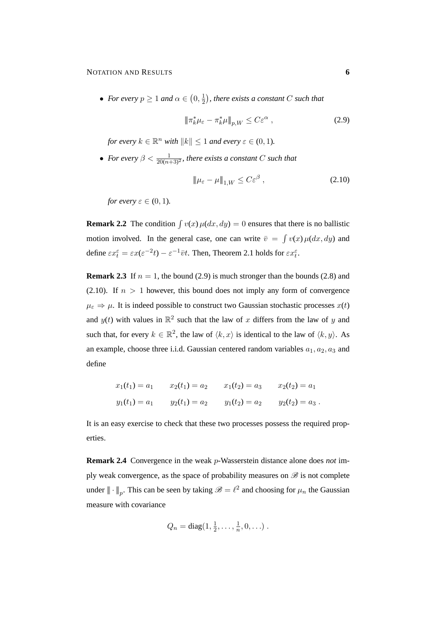• *For every*  $p \geq 1$  *and*  $\alpha \in (0, \frac{1}{2})$  $\frac{1}{2}$ ), there exists a constant C such that

$$
\|\pi_k^*\mu_{\varepsilon} - \pi_k^*\mu\|_{p,W} \le C\varepsilon^{\alpha} ,\qquad(2.9)
$$

*for every*  $k \in \mathbb{R}^n$  *with*  $||k|| \leq 1$  *and every*  $\varepsilon \in (0, 1)$ *.* 

• For every  $\beta < \frac{1}{20(n+3)^2}$ , there exists a constant C such that

$$
\|\mu_{\varepsilon} - \mu\|_{1,W} \le C\varepsilon^{\beta} ,\qquad(2.10)
$$

*for every*  $\varepsilon \in (0,1)$ *.* 

**Remark 2.2** The condition  $\int v(x) \mu(dx, dy) = 0$  ensures that there is no ballistic motion involved. In the general case, one can write  $\bar{v} = \int v(x) \mu(dx, dy)$  and define  $\epsilon x_t^{\epsilon} = \epsilon x(\epsilon^{-2}t) - \epsilon^{-1}\bar{v}t$ . Then, Theorem 2.1 holds for  $\epsilon x_t^{\epsilon}$ .

**Remark 2.3** If  $n = 1$ , the bound (2.9) is much stronger than the bounds (2.8) and (2.10). If  $n > 1$  however, this bound does not imply any form of convergence  $\mu_{\varepsilon} \Rightarrow \mu$ . It is indeed possible to construct two Gaussian stochastic processes  $x(t)$ and  $y(t)$  with values in  $\mathbb{R}^2$  such that the law of x differs from the law of y and such that, for every  $k \in \mathbb{R}^2$ , the law of  $\langle k, x \rangle$  is identical to the law of  $\langle k, y \rangle$ . As an example, choose three i.i.d. Gaussian centered random variables  $a_1, a_2, a_3$  and define

| $x_1(t_1) = a_1$ | $x_2(t_1) = a_2$ | $x_1(t_2) = a_3$ | $x_2(t_2) = a_1$   |
|------------------|------------------|------------------|--------------------|
| $y_1(t_1) = a_1$ | $y_2(t_1) = a_2$ | $y_1(t_2) = a_2$ | $y_2(t_2) = a_3$ . |

It is an easy exercise to check that these two processes possess the required properties.

**Remark 2.4** Convergence in the weak p-Wasserstein distance alone does *not* imply weak convergence, as the space of probability measures on  $\mathscr B$  is not complete under  $\|\cdot\|_p$ . This can be seen by taking  $\mathscr{B} = \ell^2$  and choosing for  $\mu_n$  the Gaussian measure with covariance

$$
Q_n = \text{diag}(1, \frac{1}{2}, \dots, \frac{1}{n}, 0, \dots).
$$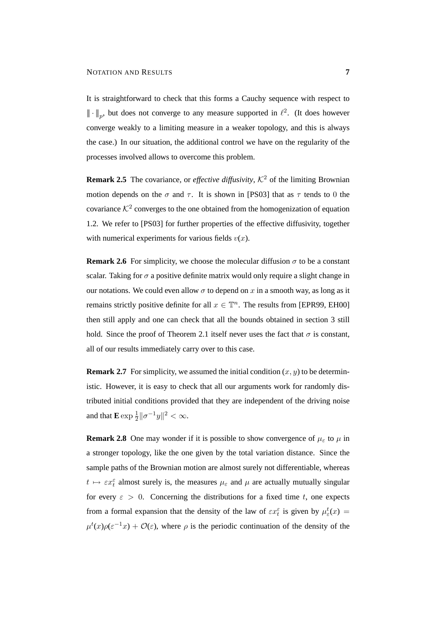It is straightforward to check that this forms a Cauchy sequence with respect to  $\|\cdot\|_p$ , but does not converge to any measure supported in  $\ell^2$ . (It does however converge weakly to a limiting measure in a weaker topology, and this is always the case.) In our situation, the additional control we have on the regularity of the processes involved allows to overcome this problem.

**Remark 2.5** The covariance, or *effective diffusivity*,  $K^2$  of the limiting Brownian motion depends on the  $\sigma$  and  $\tau$ . It is shown in [PS03] that as  $\tau$  tends to 0 the covariance  $K^2$  converges to the one obtained from the homogenization of equation 1.2. We refer to [PS03] for further properties of the effective diffusivity, together with numerical experiments for various fields  $v(x)$ .

**Remark 2.6** For simplicity, we choose the molecular diffusion  $\sigma$  to be a constant scalar. Taking for  $\sigma$  a positive definite matrix would only require a slight change in our notations. We could even allow  $\sigma$  to depend on x in a smooth way, as long as it remains strictly positive definite for all  $x \in \mathbb{T}^n$ . The results from [EPR99, EH00] then still apply and one can check that all the bounds obtained in section 3 still hold. Since the proof of Theorem 2.1 itself never uses the fact that  $\sigma$  is constant, all of our results immediately carry over to this case.

**Remark 2.7** For simplicity, we assumed the initial condition  $(x, y)$  to be deterministic. However, it is easy to check that all our arguments work for randomly distributed initial conditions provided that they are independent of the driving noise and that  $\mathbf{E} \exp \frac{1}{2} ||\sigma^{-1}y||^2 < \infty$ .

**Remark 2.8** One may wonder if it is possible to show convergence of  $\mu_{\varepsilon}$  to  $\mu$  in a stronger topology, like the one given by the total variation distance. Since the sample paths of the Brownian motion are almost surely not differentiable, whereas  $t \mapsto \varepsilon x_t^{\varepsilon}$  almost surely is, the measures  $\mu_{\varepsilon}$  and  $\mu$  are actually mutually singular for every  $\varepsilon > 0$ . Concerning the distributions for a fixed time t, one expects from a formal expansion that the density of the law of  $\varepsilon x_t^{\varepsilon}$  is given by  $\mu_{\varepsilon}^t(x) =$  $\mu^t(x)\rho(\varepsilon^{-1}x) + \mathcal{O}(\varepsilon)$ , where  $\rho$  is the periodic continuation of the density of the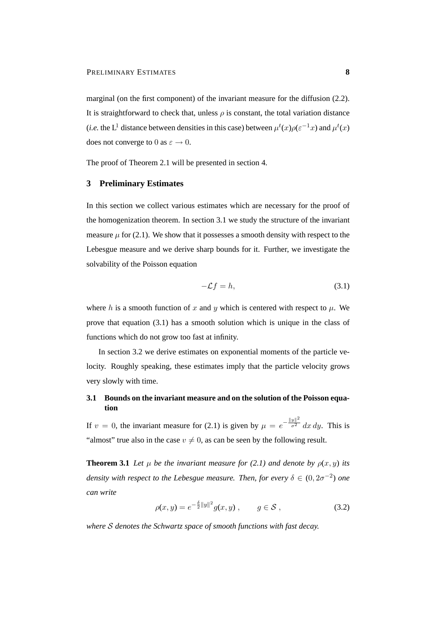marginal (on the first component) of the invariant measure for the diffusion (2.2). It is straightforward to check that, unless  $\rho$  is constant, the total variation distance (*i.e.* the L<sup>1</sup> distance between densities in this case) between  $\mu^t(x)\rho(\varepsilon^{-1}x)$  and  $\mu^t(x)$ does not converge to 0 as  $\varepsilon \to 0$ .

The proof of Theorem 2.1 will be presented in section 4.

#### **3 Preliminary Estimates**

In this section we collect various estimates which are necessary for the proof of the homogenization theorem. In section 3.1 we study the structure of the invariant measure  $\mu$  for (2.1). We show that it possesses a smooth density with respect to the Lebesgue measure and we derive sharp bounds for it. Further, we investigate the solvability of the Poisson equation

$$
-\mathcal{L}f = h,\tag{3.1}
$$

where h is a smooth function of x and y which is centered with respect to  $\mu$ . We prove that equation (3.1) has a smooth solution which is unique in the class of functions which do not grow too fast at infinity.

In section 3.2 we derive estimates on exponential moments of the particle velocity. Roughly speaking, these estimates imply that the particle velocity grows very slowly with time.

## **3.1 Bounds on the invariant measure and on the solution of the Poisson equation**

If  $v = 0$ , the invariant measure for (2.1) is given by  $\mu = e^{-\frac{||y||^2}{\sigma^2}} dx dy$ . This is "almost" true also in the case  $v \neq 0$ , as can be seen by the following result.

**Theorem 3.1** *Let*  $\mu$  *be the invariant measure for* (2.1) *and denote by*  $\rho(x, y)$  *its density with respect to the Lebesgue measure. Then, for every*  $\delta \in (0, 2\sigma^{-2})$  *one can write*

$$
\rho(x, y) = e^{-\frac{\delta}{2}||y||^2} g(x, y) , \qquad g \in \mathcal{S} ,
$$
\n(3.2)

*where* S *denotes the Schwartz space of smooth functions with fast decay.*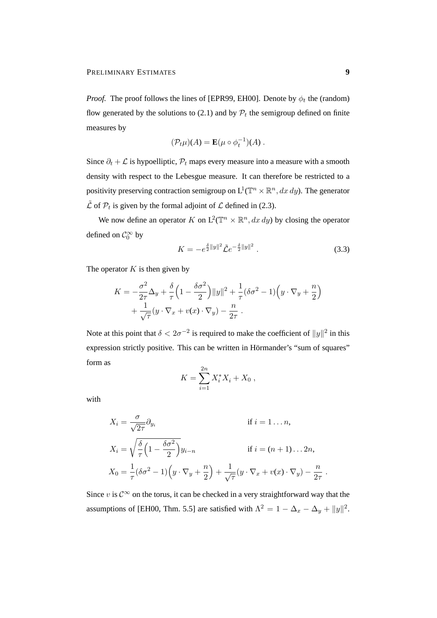*Proof.* The proof follows the lines of [EPR99, EH00]. Denote by  $\phi_t$  the (random) flow generated by the solutions to (2.1) and by  $P_t$  the semigroup defined on finite measures by

$$
(\mathcal{P}_t\mu)(A) = \mathbf{E}(\mu \circ \phi_t^{-1})(A) .
$$

Since  $\partial_t + \mathcal{L}$  is hypoelliptic,  $\mathcal{P}_t$  maps every measure into a measure with a smooth density with respect to the Lebesgue measure. It can therefore be restricted to a positivity preserving contraction semigroup on  $L^1(\mathbb{T}^n \times \mathbb{R}^n, dx\,dy)$ . The generator  $\tilde{\mathcal{L}}$  of  $\mathcal{P}_t$  is given by the formal adjoint of  $\mathcal{L}$  defined in (2.3).

We now define an operator K on  $L^2(\mathbb{T}^n \times \mathbb{R}^n, dx\,dy)$  by closing the operator defined on  $\mathcal{C}_0^{\infty}$  by

$$
K = -e^{\frac{\delta}{2}||y||^2} \tilde{\mathcal{L}}e^{-\frac{\delta}{2}||y||^2} \,. \tag{3.3}
$$

The operator  $K$  is then given by

$$
K = -\frac{\sigma^2}{2\tau} \Delta_y + \frac{\delta}{\tau} \left( 1 - \frac{\delta \sigma^2}{2} \right) ||y||^2 + \frac{1}{\tau} (\delta \sigma^2 - 1) \left( y \cdot \nabla_y + \frac{n}{2} \right) + \frac{1}{\sqrt{\tau}} (y \cdot \nabla_x + v(x) \cdot \nabla_y) - \frac{n}{2\tau}.
$$

Note at this point that  $\delta < 2\sigma^{-2}$  is required to make the coefficient of  $||y||^2$  in this expression strictly positive. This can be written in Hörmander's "sum of squares" form as

$$
K = \sum_{i=1}^{2n} X_i^* X_i + X_0 ,
$$

with

$$
X_i = \frac{\sigma}{\sqrt{2\tau}} \partial_{y_i}
$$
 if  $i = 1...n$ ,  
\n
$$
X_i = \sqrt{\frac{\delta}{\tau} \left(1 - \frac{\delta \sigma^2}{2}\right)} y_{i-n}
$$
 if  $i = (n + 1)...2n$ ,  
\n
$$
X_0 = \frac{1}{\tau} (\delta \sigma^2 - 1) \left(y \cdot \nabla_y + \frac{n}{2}\right) + \frac{1}{\sqrt{\tau}} \left(y \cdot \nabla_x + v(x) \cdot \nabla_y\right) - \frac{n}{2\tau}.
$$

Since v is  $C^{\infty}$  on the torus, it can be checked in a very straightforward way that the assumptions of [EH00, Thm. 5.5] are satisfied with  $\Lambda^2 = 1 - \Delta_x - \Delta_y + ||y||^2$ .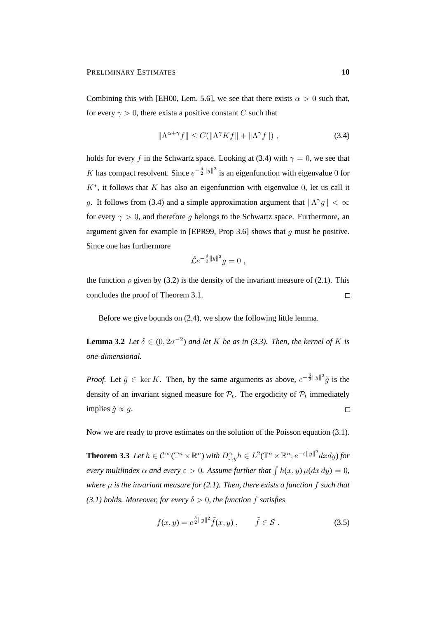Combining this with [EH00, Lem. 5.6], we see that there exists  $\alpha > 0$  such that, for every  $\gamma > 0$ , there exists a positive constant C such that

$$
\|\Lambda^{\alpha+\gamma}f\| \le C(\|\Lambda^{\gamma}Kf\| + \|\Lambda^{\gamma}f\|) ,\qquad(3.4)
$$

holds for every f in the Schwartz space. Looking at (3.4) with  $\gamma = 0$ , we see that K has compact resolvent. Since  $e^{-\frac{\delta}{2}||y||^2}$  is an eigenfunction with eigenvalue 0 for  $K^*$ , it follows that  $K$  has also an eigenfunction with eigenvalue 0, let us call it g. It follows from (3.4) and a simple approximation argument that  $\|\Lambda^{\gamma}g\| < \infty$ for every  $\gamma > 0$ , and therefore g belongs to the Schwartz space. Furthermore, an argument given for example in [EPR99, Prop 3.6] shows that g must be positive. Since one has furthermore

$$
\tilde{\mathcal{L}}e^{-\frac{\delta}{2}\|y\|^2}g=0,
$$

the function  $\rho$  given by (3.2) is the density of the invariant measure of (2.1). This concludes the proof of Theorem 3.1.  $\Box$ 

Before we give bounds on (2.4), we show the following little lemma.

**Lemma 3.2** *Let*  $\delta \in (0, 2\sigma^{-2})$  *and let* K *be as in* (3.3). Then, the kernel of K is *one-dimensional.*

*Proof.* Let  $\tilde{g} \in \text{ker } K$ . Then, by the same arguments as above,  $e^{-\frac{\delta}{2}||y||^2}\tilde{g}$  is the density of an invariant signed measure for  $\mathcal{P}_t$ . The ergodicity of  $\mathcal{P}_t$  immediately implies  $\tilde{q} \propto q$ .  $\Box$ 

Now we are ready to prove estimates on the solution of the Poisson equation (3.1).

**Theorem 3.3** Let  $h \in C^{\infty}(\mathbb{T}^n \times \mathbb{R}^n)$  with  $D^{\alpha}_{x,y}h \in L^2(\mathbb{T}^n \times \mathbb{R}^n; e^{-\varepsilon||y||^2}dxdy)$  for *every multiindex*  $\alpha$  *and every*  $\varepsilon > 0$ . Assume further that  $\int h(x, y) \mu(dx dy) = 0$ , *where* µ *is the invariant measure for (2.1). Then, there exists a function* f *such that (3.1) holds. Moreover, for every*  $\delta > 0$ *, the function f satisfies* 

$$
f(x,y) = e^{\frac{\delta}{2}||y||^2} \tilde{f}(x,y) , \qquad \tilde{f} \in \mathcal{S} . \tag{3.5}
$$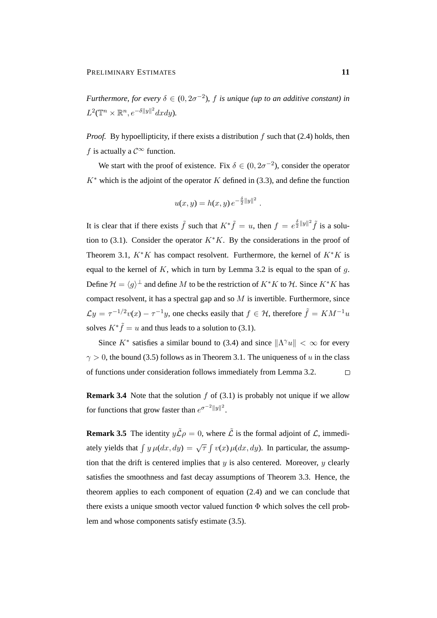*Furthermore, for every*  $\delta \in (0, 2\sigma^{-2})$ , *f is unique (up to an additive constant) in*  $L^2(\mathbb{T}^n \times \mathbb{R}^n, e^{-\delta ||y||^2}dxdy).$ 

*Proof.* By hypoellipticity, if there exists a distribution  $f$  such that (2.4) holds, then f is actually a  $\mathcal{C}^{\infty}$  function.

We start with the proof of existence. Fix  $\delta \in (0, 2\sigma^{-2})$ , consider the operator  $K^*$  which is the adjoint of the operator K defined in (3.3), and define the function

$$
u(x, y) = h(x, y) e^{-\frac{\delta}{2} ||y||^2}.
$$

It is clear that if there exists  $\tilde{f}$  such that  $K^*\tilde{f} = u$ , then  $f = e^{\frac{\delta}{2}||y||^2}\tilde{f}$  is a solution to (3.1). Consider the operator  $K*K$ . By the considerations in the proof of Theorem 3.1,  $K*K$  has compact resolvent. Furthermore, the kernel of  $K*K$  is equal to the kernel of K, which in turn by Lemma 3.2 is equal to the span of  $q$ . Define  $\mathcal{H} = \langle g \rangle^{\perp}$  and define M to be the restriction of  $K^*K$  to H. Since  $K^*K$  has compact resolvent, it has a spectral gap and so  $M$  is invertible. Furthermore, since  $\mathcal{L}y = \tau^{-1/2}v(x) - \tau^{-1}y$ , one checks easily that  $f \in \mathcal{H}$ , therefore  $\tilde{f} = KM^{-1}u$ solves  $K^* \tilde{f} = u$  and thus leads to a solution to (3.1).

Since  $K^*$  satisfies a similar bound to (3.4) and since  $\|\Lambda^\gamma u\| < \infty$  for every  $\gamma > 0$ , the bound (3.5) follows as in Theorem 3.1. The uniqueness of u in the class of functions under consideration follows immediately from Lemma 3.2.  $\Box$ 

**Remark 3.4** Note that the solution  $f$  of (3.1) is probably not unique if we allow for functions that grow faster than  $e^{\sigma^{-2}||y||^2}$ .

**Remark 3.5** The identity  $y\tilde{\mathcal{L}}\rho = 0$ , where  $\tilde{\mathcal{L}}$  is the formal adjoint of  $\mathcal{L}$ , immediately yields that  $\int y \mu(dx, dy) = \sqrt{\tau} \int v(x) \mu(dx, dy)$ . In particular, the assumption that the drift is centered implies that  $y$  is also centered. Moreover,  $y$  clearly satisfies the smoothness and fast decay assumptions of Theorem 3.3. Hence, the theorem applies to each component of equation (2.4) and we can conclude that there exists a unique smooth vector valued function  $\Phi$  which solves the cell problem and whose components satisfy estimate (3.5).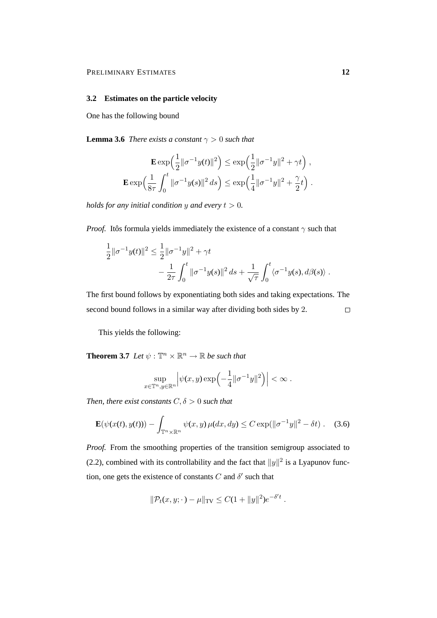#### **3.2 Estimates on the particle velocity**

One has the following bound

**Lemma 3.6** *There exists a constant*  $\gamma > 0$  *such that* 

$$
\mathbf{E} \exp\left(\frac{1}{2} ||\sigma^{-1} y(t)||^2\right) \le \exp\left(\frac{1}{2} ||\sigma^{-1} y||^2 + \gamma t\right),
$$
  

$$
\mathbf{E} \exp\left(\frac{1}{8\tau} \int_0^t ||\sigma^{-1} y(s)||^2 ds\right) \le \exp\left(\frac{1}{4} ||\sigma^{-1} y||^2 + \frac{\gamma}{2} t\right).
$$

*holds for any initial condition* y and every  $t > 0$ .

*Proof.* Itôs formula yields immediately the existence of a constant  $\gamma$  such that

$$
\frac{1}{2} ||\sigma^{-1} y(t)||^2 \le \frac{1}{2} ||\sigma^{-1} y||^2 + \gamma t \n- \frac{1}{2\tau} \int_0^t ||\sigma^{-1} y(s)||^2 ds + \frac{1}{\sqrt{\tau}} \int_0^t \langle \sigma^{-1} y(s), d\beta(s) \rangle .
$$

The first bound follows by exponentiating both sides and taking expectations. The second bound follows in a similar way after dividing both sides by 2.  $\Box$ 

This yields the following:

**Theorem 3.7** *Let*  $\psi$  :  $\mathbb{T}^n \times \mathbb{R}^n \to \mathbb{R}$  *be such that* 

$$
\sup_{x\in\mathbb{T}^n,y\in\mathbb{R}^n}\left|\psi(x,y)\exp\left(-\frac{1}{4}\|\sigma^{-1}y\|^2\right)\right|<\infty.
$$

*Then, there exist constants*  $C, \delta > 0$  *such that* 

$$
\mathbf{E}(\psi(x(t), y(t))) - \int_{\mathbb{T}^n \times \mathbb{R}^n} \psi(x, y) \,\mu(dx, dy) \le C \exp(\|\sigma^{-1}y\|^2 - \delta t) \,. \tag{3.6}
$$

*Proof.* From the smoothing properties of the transition semigroup associated to (2.2), combined with its controllability and the fact that  $||y||^2$  is a Lyapunov function, one gets the existence of constants  $C$  and  $\delta'$  such that

$$
\|\mathcal{P}_t(x,y;\cdot) - \mu\|_{\text{TV}} \leq C(1+\|y\|^2)e^{-\delta't}.
$$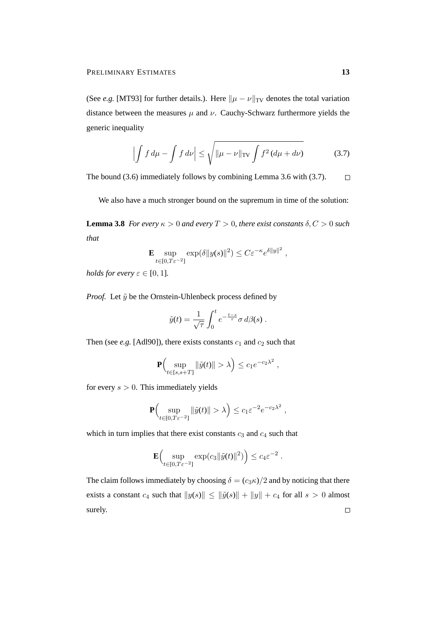(See *e.g.* [MT93] for further details.). Here  $\|\mu - \nu\|_{TV}$  denotes the total variation distance between the measures  $\mu$  and  $\nu$ . Cauchy-Schwarz furthermore yields the generic inequality

$$
\left| \int f d\mu - \int f d\nu \right| \le \sqrt{\|\mu - \nu\|_{\text{TV}}} \int f^2 (d\mu + d\nu) \tag{3.7}
$$

The bound (3.6) immediately follows by combining Lemma 3.6 with (3.7).  $\Box$ 

We also have a much stronger bound on the supremum in time of the solution:

**Lemma 3.8** *For every*  $\kappa > 0$  *and every*  $T > 0$ *, there exist constants*  $\delta, C > 0$  *such that*

$$
\mathbf{E} \sup_{t \in [0,T\varepsilon^{-2}]} \exp(\delta \|y(s)\|^2) \leq C \varepsilon^{-\kappa} e^{\delta \|y\|^2} ,
$$

*holds for every*  $\varepsilon \in [0, 1]$ *.* 

*Proof.* Let  $\tilde{y}$  be the Ornstein-Uhlenbeck process defined by

$$
\tilde{y}(t) = \frac{1}{\sqrt{\tau}} \int_0^t e^{-\frac{t-s}{\tau}} \sigma \, d\beta(s) \; .
$$

Then (see *e.g.* [Adl90]), there exists constants  $c_1$  and  $c_2$  such that

$$
\mathbf{P}\Big(\sup_{t\in[s,s+T]}\|\tilde{y}(t)\|>\lambda\Big)\leq c_1e^{-c_2\lambda^2}\;,
$$

for every  $s > 0$ . This immediately yields

$$
\mathbf{P}\Big(\sup_{t\in[0,T\varepsilon^{-2}]} \|\tilde{y}(t)\| > \lambda\Big) \leq c_1 \varepsilon^{-2} e^{-c_2\lambda^2} ,
$$

which in turn implies that there exist constants  $c_3$  and  $c_4$  such that

$$
\mathbf{E}\Big(\sup_{t\in[0,T\varepsilon^{-2}]} \exp(c_3\|\tilde{y}(t)\|^2)\Big)\leq c_4\varepsilon^{-2}\;.
$$

The claim follows immediately by choosing  $\delta = (c_3 \kappa)/2$  and by noticing that there exists a constant  $c_4$  such that  $||y(s)|| \le ||\tilde{y}(s)|| + ||y|| + c_4$  for all  $s > 0$  almost surely. $\Box$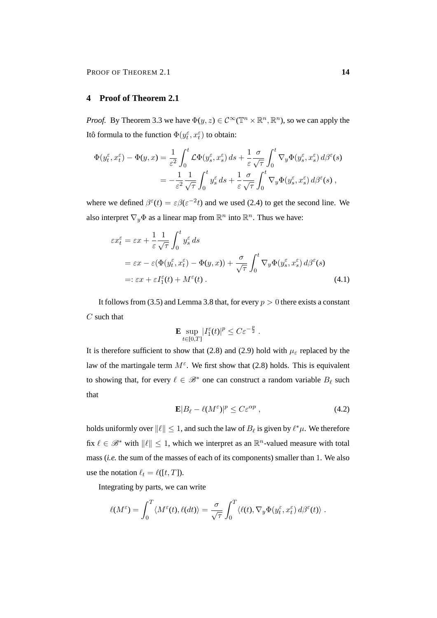## **4 Proof of Theorem 2.1**

*Proof.* By Theorem 3.3 we have  $\Phi(y, z) \in C^{\infty}(\mathbb{T}^n \times \mathbb{R}^n, \mathbb{R}^n)$ , so we can apply the Itô formula to the function  $\Phi(y_t^{\varepsilon}, x_t^{\varepsilon})$  to obtain:

$$
\Phi(y_t^{\varepsilon}, x_t^{\varepsilon}) - \Phi(y, x) = \frac{1}{\varepsilon^2} \int_0^t \mathcal{L}\Phi(y_s^{\varepsilon}, x_s^{\varepsilon}) ds + \frac{1}{\varepsilon} \frac{\sigma}{\sqrt{\tau}} \int_0^t \nabla_y \Phi(y_s^{\varepsilon}, x_s^{\varepsilon}) d\beta^{\varepsilon}(s)
$$

$$
= -\frac{1}{\varepsilon^2} \frac{1}{\sqrt{\tau}} \int_0^t y_s^{\varepsilon} ds + \frac{1}{\varepsilon} \frac{\sigma}{\sqrt{\tau}} \int_0^t \nabla_y \Phi(y_s^{\varepsilon}, x_s^{\varepsilon}) d\beta^{\varepsilon}(s) ,
$$

where we defined  $\beta^{\epsilon}(t) = \epsilon \beta(\epsilon^{-2}t)$  and we used (2.4) to get the second line. We also interpret  $\nabla_y \Phi$  as a linear map from  $\mathbb{R}^n$  into  $\mathbb{R}^n$ . Thus we have:

$$
\varepsilon x_t^{\varepsilon} = \varepsilon x + \frac{1}{\varepsilon} \frac{1}{\sqrt{\tau}} \int_0^t y_s^{\varepsilon} ds
$$
  
=  $\varepsilon x - \varepsilon (\Phi(y_t^{\varepsilon}, x_t^{\varepsilon}) - \Phi(y, x)) + \frac{\sigma}{\sqrt{\tau}} \int_0^t \nabla_y \Phi(y_s^{\varepsilon}, x_s^{\varepsilon}) d\beta^{\varepsilon}(s)$   
=:  $\varepsilon x + \varepsilon I_1^{\varepsilon}(t) + M^{\varepsilon}(t)$ . (4.1)

It follows from (3.5) and Lemma 3.8 that, for every  $p > 0$  there exists a constant  $C$  such that

$$
\mathbf{E} \sup_{t \in [0,T]} |I_1^{\varepsilon}(t)|^p \leq C \varepsilon^{-\frac{p}{2}}.
$$

It is therefore sufficient to show that (2.8) and (2.9) hold with  $\mu_{\varepsilon}$  replaced by the law of the martingale term  $M^{\varepsilon}$ . We first show that (2.8) holds. This is equivalent to showing that, for every  $\ell \in \mathcal{B}^*$  one can construct a random variable  $B_\ell$  such that

$$
\mathbf{E}|B_{\ell} - \ell(M^{\varepsilon})|^p \le C\varepsilon^{\alpha p} , \qquad (4.2)
$$

holds uniformly over  $||\ell|| \leq 1$ , and such the law of  $B_\ell$  is given by  $\ell^* \mu$ . We therefore fix  $\ell \in \mathcal{B}^*$  with  $\|\ell\| \leq 1$ , which we interpret as an  $\mathbb{R}^n$ -valued measure with total mass (*i.e.* the sum of the masses of each of its components) smaller than 1. We also use the notation  $\ell_t = \ell([t, T]).$ 

Integrating by parts, we can write

$$
\ell(M^{\varepsilon}) = \int_0^T \langle M^{\varepsilon}(t), \ell(dt) \rangle = \frac{\sigma}{\sqrt{\tau}} \int_0^T \langle \ell(t), \nabla_y \Phi(y_t^{\varepsilon}, x_t^{\varepsilon}) d\beta^{\varepsilon}(t) \rangle.
$$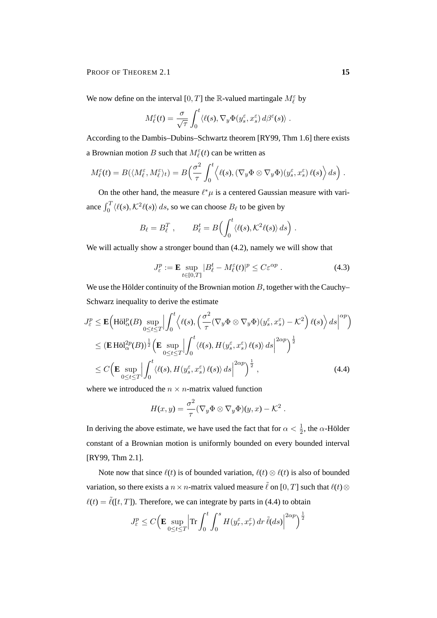PROOF OF THEOREM 2.1 **15** 

We now define on the interval [0, T] the R-valued martingale  $M_{\ell}^{\varepsilon}$  by

$$
M_{\ell}^{\varepsilon}(t) = \frac{\sigma}{\sqrt{\tau}} \int_0^t \langle \ell(s), \nabla_y \Phi(y_s^{\varepsilon}, x_s^{\varepsilon}) d\beta^{\varepsilon}(s) \rangle.
$$

According to the Dambis–Dubins–Schwartz theorem [RY99, Thm 1.6] there exists a Brownian motion B such that  $M_{\ell}^{\varepsilon}(t)$  can be written as

$$
M_{\ell}^{\varepsilon}(t) = B(\langle M_{\ell}^{\varepsilon}, M_{\ell}^{\varepsilon} \rangle_{t}) = B\Big(\frac{\sigma^{2}}{\tau} \int_{0}^{t} \Big\langle \ell(s), (\nabla_{y} \Phi \otimes \nabla_{y} \Phi)(y_{s}^{\varepsilon}, x_{s}^{\varepsilon}) \ell(s) \Big\rangle ds \Big) .
$$

On the other hand, the measure  $\ell^* \mu$  is a centered Gaussian measure with variance  $\int_0^T \langle \ell(s), \mathcal{K}^2 \ell(s) \rangle ds$ , so we can choose  $B_\ell$  to be given by

$$
B_{\ell} = B_{\ell}^T , \qquad B_{\ell}^t = B\Big(\int_0^t \langle \ell(s), \mathcal{K}^2 \ell(s) \rangle ds\Big) .
$$

We will actually show a stronger bound than (4.2), namely we will show that

$$
J_{\varepsilon}^p := \mathbf{E} \sup_{t \in [0,T]} |B_{\ell}^t - M_{\ell}^{\varepsilon}(t)|^p \le C \varepsilon^{\alpha p} . \tag{4.3}
$$

We use the Hölder continuity of the Brownian motion  $B$ , together with the Cauchy– Schwarz inequality to derive the estimate

$$
J_{\varepsilon}^{p} \leq \mathbf{E} \Big( \text{H\"ol}_{\alpha}^{p}(B) \sup_{0 \leq t \leq T} \Big| \int_{0}^{t} \Big\langle \ell(s), \Big( \frac{\sigma^{2}}{\tau} (\nabla_{y} \Phi \otimes \nabla_{y} \Phi)(y_{s}^{\varepsilon}, x_{s}^{\varepsilon}) - \mathcal{K}^{2} \Big) \ell(s) \Big\rangle \, ds \Big|^{\alpha p} \Big) \leq (\mathbf{E} \, \text{H\"ol}_{\alpha}^{2p}(B))^{\frac{1}{2}} \Big( \mathbf{E} \sup_{0 \leq t \leq T} \Big| \int_{0}^{t} \langle \ell(s), H(y_{s}^{\varepsilon}, x_{s}^{\varepsilon}) \ell(s) \rangle \, ds \Big|^{2\alpha p} \Big)^{\frac{1}{2}} \leq C \Big( \mathbf{E} \sup_{0 \leq t \leq T} \Big| \int_{0}^{t} \langle \ell(s), H(y_{s}^{\varepsilon}, x_{s}^{\varepsilon}) \ell(s) \rangle \, ds \Big|^{2\alpha p} \Big)^{\frac{1}{2}},
$$
\n(4.4)

where we introduced the  $n \times n$ -matrix valued function

$$
H(x,y) = \frac{\sigma^2}{\tau} (\nabla_y \Phi \otimes \nabla_y \Phi)(y,x) - \mathcal{K}^2.
$$

In deriving the above estimate, we have used the fact that for  $\alpha < \frac{1}{2}$ , the  $\alpha$ -Hölder constant of a Brownian motion is uniformly bounded on every bounded interval [RY99, Thm 2.1].

Note now that since  $\ell(t)$  is of bounded variation,  $\ell(t) \otimes \ell(t)$  is also of bounded variation, so there exists a  $n \times n$ -matrix valued measure  $\tilde{\ell}$  on [0, T] such that  $\ell(t) \otimes$  $\ell(t) = \tilde{\ell}([t, T])$ . Therefore, we can integrate by parts in (4.4) to obtain

$$
J_{\varepsilon}^p \le C \Big( \mathbf{E} \sup_{0 \le t \le T} \Big| \text{Tr} \int_0^t \int_0^s H(y_r^{\varepsilon}, x_r^{\varepsilon}) \, dr \, \tilde{\ell}(ds) \Big|^{2\alpha p} \Big)^{\frac{1}{2}}
$$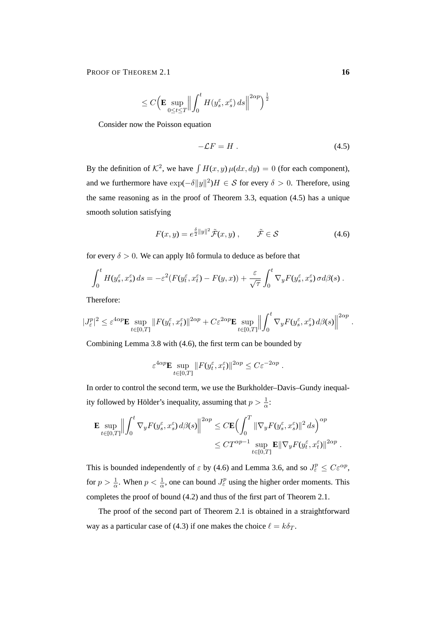PROOF OF THEOREM 2.1 **16** 

$$
\leq C \Bigl( \mathbf{E} \sup_{0 \leq t \leq T} \Bigl\| \int_0^t H(y_s^{\varepsilon}, x_s^{\varepsilon}) ds \Bigr\|^{2\alpha p} \Bigr)^{\frac{1}{2}}
$$

Consider now the Poisson equation

$$
-\mathcal{L}F = H. \tag{4.5}
$$

By the definition of  $\mathcal{K}^2$ , we have  $\int H(x, y) \mu(dx, dy) = 0$  (for each component), and we furthermore have  $\exp(-\delta ||y||^2)H \in S$  for every  $\delta > 0$ . Therefore, using the same reasoning as in the proof of Theorem 3.3, equation (4.5) has a unique smooth solution satisfying

$$
F(x,y) = e^{\frac{\delta}{2}||y||^2} \tilde{\mathcal{F}}(x,y) , \qquad \tilde{\mathcal{F}} \in \mathcal{S} \tag{4.6}
$$

for every  $\delta > 0$ . We can apply Itô formula to deduce as before that

$$
\int_0^t H(y_s^{\varepsilon}, x_s^{\varepsilon}) ds = -\varepsilon^2 (F(y_t^{\varepsilon}, x_t^{\varepsilon}) - F(y, x)) + \frac{\varepsilon}{\sqrt{\tau}} \int_0^t \nabla_y F(y_s^{\varepsilon}, x_s^{\varepsilon}) \sigma d\beta(s).
$$

Therefore:

$$
|J_{\varepsilon}^p|^2 \leq \varepsilon^{4\alpha p} \mathbf{E} \sup_{t \in [0,T]} \|F(y_t^{\varepsilon}, x_t^{\varepsilon})\|^{2\alpha p} + C\varepsilon^{2\alpha p} \mathbf{E} \sup_{t \in [0,T]} \left\| \int_0^t \nabla_y F(y_s^{\varepsilon}, x_s^{\varepsilon}) d\beta(s) \right\|^{2\alpha p}.
$$

Combining Lemma 3.8 with (4.6), the first term can be bounded by

$$
\varepsilon^{4\alpha p} \mathbf{E} \sup_{t \in [0,T]} \| F(y_t^{\varepsilon}, x_t^{\varepsilon}) \|^{2\alpha p} \le C \varepsilon^{-2\alpha p} .
$$

In order to control the second term, we use the Burkholder–Davis–Gundy inequality followed by Hölder's inequality, assuming that  $p > \frac{1}{\alpha}$ .

$$
\mathbf{E} \sup_{t \in [0,T]} \Big\| \int_0^t \nabla_y F(y_s^\varepsilon, x_s^\varepsilon) \, d\beta(s) \Big\|^{2\alpha p} \leq C \mathbf{E} \Big( \int_0^T \|\nabla_y F(y_s^\varepsilon, x_s^\varepsilon)\|^2 \, ds \Big)^{\alpha p} \leq C T^{\alpha p - 1} \sup_{t \in [0,T]} \mathbf{E} \|\nabla_y F(y_t^\varepsilon, x_t^\varepsilon)\|^{2\alpha p}.
$$

This is bounded independently of  $\varepsilon$  by (4.6) and Lemma 3.6, and so  $J_{\varepsilon}^p \leq C \varepsilon^{\alpha p}$ , for  $p > \frac{1}{\alpha}$ . When  $p < \frac{1}{\alpha}$ , one can bound  $J_{\varepsilon}^p$  using the higher order moments. This completes the proof of bound (4.2) and thus of the first part of Theorem 2.1.

The proof of the second part of Theorem 2.1 is obtained in a straightforward way as a particular case of (4.3) if one makes the choice  $\ell = k\delta_T$ .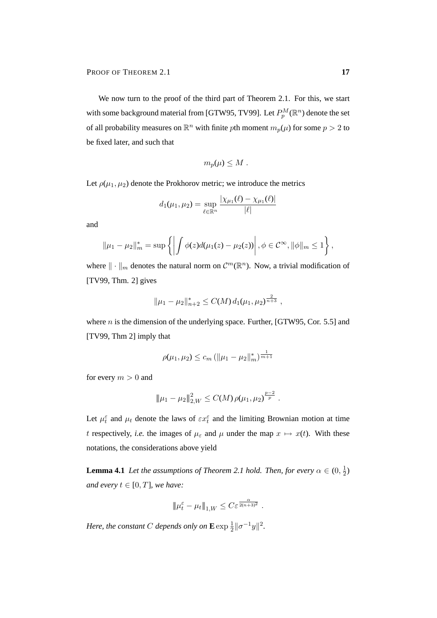We now turn to the proof of the third part of Theorem 2.1. For this, we start with some background material from [GTW95, TV99]. Let  $P_p^M(\mathbb{R}^n)$  denote the set of all probability measures on  $\mathbb{R}^n$  with finite pth moment  $m_p(\mu)$  for some  $p > 2$  to be fixed later, and such that

$$
m_p(\mu)\leq M.
$$

Let  $\rho(\mu_1, \mu_2)$  denote the Prokhorov metric; we introduce the metrics

$$
d_1(\mu_1, \mu_2) = \sup_{\ell \in \mathbb{R}^n} \frac{|\chi_{\mu_1}(\ell) - \chi_{\mu_1}(\ell)|}{|\ell|}
$$

and

$$
\|\mu_1 - \mu_2\|_m^* = \sup \{ \left| \int \phi(z) d(\mu_1(z) - \mu_2(z)) \right|, \phi \in C^{\infty}, \|\phi\|_m \le 1 \},
$$

where  $\|\cdot\|_m$  denotes the natural norm on  $\mathcal{C}^m(\mathbb{R}^n)$ . Now, a trivial modification of [TV99, Thm. 2] gives

$$
\|\mu_1 - \mu_2\|_{n+2}^* \le C(M) d_1(\mu_1, \mu_2)^{\frac{2}{n+3}},
$$

where  $n$  is the dimension of the underlying space. Further, [GTW95, Cor. 5.5] and [TV99, Thm 2] imply that

$$
\rho(\mu_1, \mu_2) \le c_m \left( \|\mu_1 - \mu_2\|_m^* \right)^{\frac{1}{m+1}}
$$

for every  $m > 0$  and

$$
\|\mu_1-\mu_2\|_{2,W}^2\leq C(M)\,\rho(\mu_1,\mu_2)^{\frac{p-2}{p}}.
$$

Let  $\mu_t^{\varepsilon}$  and  $\mu_t$  denote the laws of  $\varepsilon x_t^{\varepsilon}$  and the limiting Brownian motion at time t respectively, *i.e.* the images of  $\mu_{\varepsilon}$  and  $\mu$  under the map  $x \mapsto x(t)$ . With these notations, the considerations above yield

**Lemma 4.1** *Let the assumptions of Theorem 2.1 hold. Then, for every*  $\alpha \in (0, \frac{1}{2})$  $(\frac{1}{2})$ *and every*  $t \in [0, T]$ *, we have:* 

$$
\|\mu_t^{\varepsilon} - \mu_t\|_{1,W} \leq C \varepsilon^{\frac{\alpha}{2(n+3)^2}}.
$$

*Here, the constant C depends only on*  $\mathbf{E} \exp \frac{1}{2} ||\sigma^{-1}y||^2$ .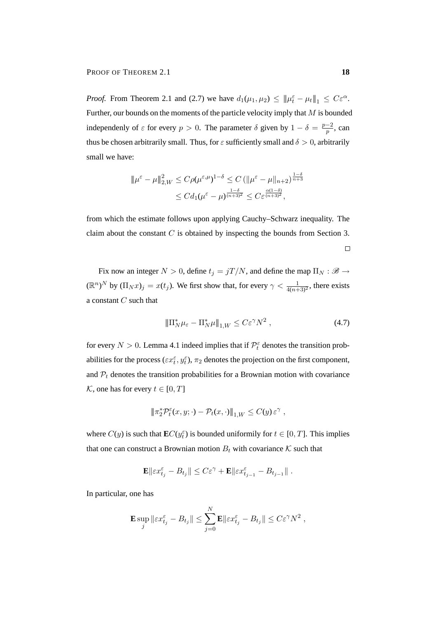PROOF OF THEOREM 2.1 **18** 

*Proof.* From Theorem 2.1 and (2.7) we have  $d_1(\mu_1, \mu_2) \leq ||\mu_t^{\varepsilon} - \mu_t||_1 \leq C\varepsilon^{\alpha}$ . Further, our bounds on the moments of the particle velocity imply that  $M$  is bounded independenly of  $\varepsilon$  for every  $p > 0$ . The parameter  $\delta$  given by  $1 - \delta = \frac{p-2}{n}$  $\frac{-2}{p}$ , can thus be chosen arbitrarily small. Thus, for  $\varepsilon$  sufficiently small and  $\delta > 0$ , arbitrarily small we have:

$$
\|\mu^{\varepsilon} - \mu\|_{2,W}^2 \le C\rho(\mu^{\varepsilon,\mu})^{1-\delta} \le C \left(\|\mu^{\varepsilon} - \mu\|_{n+2}\right)^{\frac{1-\delta}{n+3}}
$$
  

$$
\le C d_1(\mu^{\varepsilon} - \mu)^{\frac{1-\delta}{(n+3)^2}} \le C\varepsilon^{\frac{\alpha(1-\delta)}{(n+3)^2}},
$$

from which the estimate follows upon applying Cauchy–Schwarz inequality. The claim about the constant  $C$  is obtained by inspecting the bounds from Section 3.

Fix now an integer  $N > 0$ , define  $t_j = jT/N$ , and define the map  $\Pi_N : \mathscr{B} \to$  $(\mathbb{R}^n)^N$  by  $(\Pi_N x)_j = x(t_j)$ . We first show that, for every  $\gamma < \frac{1}{4(n+3)^2}$ , there exists a constant  $C$  such that

$$
\|\Pi_N^*\mu_{\varepsilon} - \Pi_N^*\mu\|_{1,W} \le C\varepsilon^\gamma N^2 \,,\tag{4.7}
$$

for every  $N > 0$ . Lemma 4.1 indeed implies that if  $\mathcal{P}_t^{\varepsilon}$  denotes the transition probabilities for the process ( $\epsilon x_t^{\epsilon}$ ,  $y_t^{\epsilon}$ ),  $\pi_2$  denotes the projection on the first component, and  $P_t$  denotes the transition probabilities for a Brownian motion with covariance K, one has for every  $t \in [0, T]$ 

$$
\|\pi_2^* \mathcal{P}_t^{\varepsilon}(x, y; \cdot) - \mathcal{P}_t(x, \cdot)\|_{1, W} \le C(y) \varepsilon^{\gamma} ,
$$

where  $C(y)$  is such that  $\mathbf{E}C(y_t^{\varepsilon})$  is bounded uniformily for  $t \in [0, T]$ . This implies that one can construct a Brownian motion  $B_t$  with covariance K such that

$$
\mathbf{E}\|\varepsilon x_{t_j}^\varepsilon-B_{t_j}\|\leq C\varepsilon^\gamma+\mathbf{E}\|\varepsilon x_{t_{j-1}}^\varepsilon-B_{t_{j-1}}\|\;.
$$

In particular, one has

$$
\mathbf{E} \sup_j \|\varepsilon x_{t_j}^{\varepsilon} - B_{t_j}\| \leq \sum_{j=0}^N \mathbf{E} \|\varepsilon x_{t_j}^{\varepsilon} - B_{t_j}\| \leq C \varepsilon^{\gamma} N^2,
$$

 $\Box$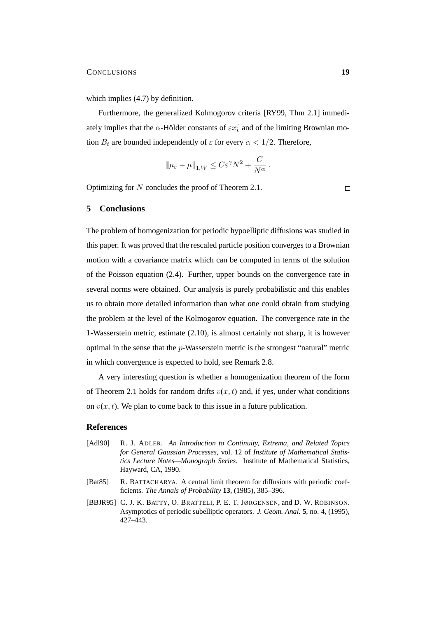which implies  $(4.7)$  by definition.

Furthermore, the generalized Kolmogorov criteria [RY99, Thm 2.1] immediately implies that the  $\alpha$ -Hölder constants of  $\varepsilon x_t^{\varepsilon}$  and of the limiting Brownian motion  $B_t$  are bounded independently of  $\varepsilon$  for every  $\alpha < 1/2$ . Therefore,

$$
\|\mu_{\varepsilon}-\mu\|_{1,W}\leq C\varepsilon^{\gamma}N^2+\frac{C}{N^{\alpha}}.
$$

Optimizing for N concludes the proof of Theorem 2.1.

 $\Box$ 

## **5 Conclusions**

The problem of homogenization for periodic hypoelliptic diffusions was studied in this paper. It was proved that the rescaled particle position converges to a Brownian motion with a covariance matrix which can be computed in terms of the solution of the Poisson equation (2.4). Further, upper bounds on the convergence rate in several norms were obtained. Our analysis is purely probabilistic and this enables us to obtain more detailed information than what one could obtain from studying the problem at the level of the Kolmogorov equation. The convergence rate in the 1-Wasserstein metric, estimate (2.10), is almost certainly not sharp, it is however optimal in the sense that the p-Wasserstein metric is the strongest "natural" metric in which convergence is expected to hold, see Remark 2.8.

A very interesting question is whether a homogenization theorem of the form of Theorem 2.1 holds for random drifts  $v(x, t)$  and, if yes, under what conditions on  $v(x, t)$ . We plan to come back to this issue in a future publication.

#### **References**

- [Adl90] R. J. ADLER. *An Introduction to Continuity, Extrema, and Related Topics for General Gaussian Processes*, vol. 12 of *Institute of Mathematical Statistics Lecture Notes—Monograph Series*. Institute of Mathematical Statistics, Hayward, CA, 1990.
- [Bat85] R. BATTACHARYA. A central limit theorem for diffusions with periodic coefficients. *The Annals of Probability* **13**, (1985), 385–396.
- [BBJR95] C. J. K. BATTY, O. BRATTELI, P. E. T. JØRGENSEN, and D. W. ROBINSON. Asymptotics of periodic subelliptic operators. *J. Geom. Anal.* **5**, no. 4, (1995), 427–443.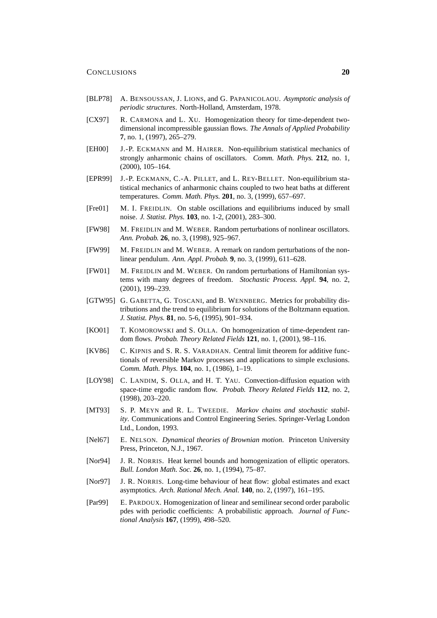- [BLP78] A. BENSOUSSAN, J. LIONS, and G. PAPANICOLAOU. *Asymptotic analysis of periodic structures*. North-Holland, Amsterdam, 1978.
- [CX97] R. CARMONA and L. XU. Homogenization theory for time-dependent twodimensional incompressible gaussian flows. *The Annals of Applied Probability* **7**, no. 1, (1997), 265–279.
- [EH00] J.-P. ECKMANN and M. HAIRER. Non-equilibrium statistical mechanics of strongly anharmonic chains of oscillators. *Comm. Math. Phys.* **212**, no. 1, (2000), 105–164.
- [EPR99] J.-P. ECKMANN, C.-A. PILLET, and L. REY-BELLET. Non-equilibrium statistical mechanics of anharmonic chains coupled to two heat baths at different temperatures. *Comm. Math. Phys.* **201**, no. 3, (1999), 657–697.
- [Fre01] M. I. FREIDLIN. On stable oscillations and equilibriums induced by small noise. *J. Statist. Phys.* **103**, no. 1-2, (2001), 283–300.
- [FW98] M. FREIDLIN and M. WEBER. Random perturbations of nonlinear oscillators. *Ann. Probab.* **26**, no. 3, (1998), 925–967.
- [FW99] M. FREIDLIN and M. WEBER. A remark on random perturbations of the nonlinear pendulum. *Ann. Appl. Probab.* **9**, no. 3, (1999), 611–628.
- [FW01] M. FREIDLIN and M. WEBER. On random perturbations of Hamiltonian systems with many degrees of freedom. *Stochastic Process. Appl.* **94**, no. 2, (2001), 199–239.
- [GTW95] G. GABETTA, G. TOSCANI, and B. WENNBERG. Metrics for probability distributions and the trend to equilibrium for solutions of the Boltzmann equation. *J. Statist. Phys.* **81**, no. 5-6, (1995), 901–934.
- [KO01] T. KOMOROWSKI and S. OLLA. On homogenization of time-dependent random flows. *Probab. Theory Related Fields* **121**, no. 1, (2001), 98–116.
- [KV86] C. KIPNIS and S. R. S. VARADHAN. Central limit theorem for additive functionals of reversible Markov processes and applications to simple exclusions. *Comm. Math. Phys.* **104**, no. 1, (1986), 1–19.
- [LOY98] C. LANDIM, S. OLLA, and H. T. YAU. Convection-diffusion equation with space-time ergodic random flow. *Probab. Theory Related Fields* **112**, no. 2, (1998), 203–220.
- [MT93] S. P. MEYN and R. L. TWEEDIE. *Markov chains and stochastic stability*. Communications and Control Engineering Series. Springer-Verlag London Ltd., London, 1993.
- [Nel67] E. NELSON. *Dynamical theories of Brownian motion*. Princeton University Press, Princeton, N.J., 1967.
- [Nor94] J. R. NORRIS. Heat kernel bounds and homogenization of elliptic operators. *Bull. London Math. Soc.* **26**, no. 1, (1994), 75–87.
- [Nor97] J. R. NORRIS. Long-time behaviour of heat flow: global estimates and exact asymptotics. *Arch. Rational Mech. Anal.* **140**, no. 2, (1997), 161–195.
- [Par99] E. PARDOUX. Homogenization of linear and semilinear second order parabolic pdes with periodic coefficients: A probabilistic approach. *Journal of Functional Analysis* **167**, (1999), 498–520.